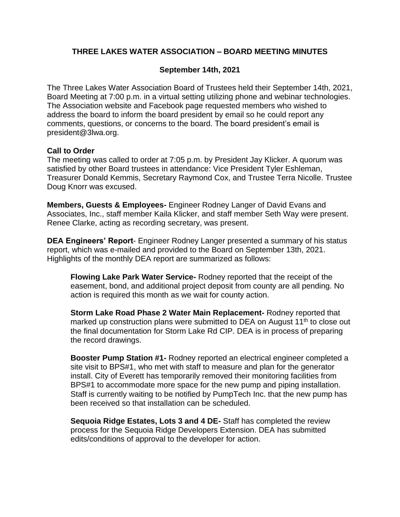### **THREE LAKES WATER ASSOCIATION – BOARD MEETING MINUTES**

### **September 14th, 2021**

The Three Lakes Water Association Board of Trustees held their September 14th, 2021, Board Meeting at 7:00 p.m. in a virtual setting utilizing phone and webinar technologies. The Association website and Facebook page requested members who wished to address the board to inform the board president by email so he could report any comments, questions, or concerns to the board. The board president's email is president@3lwa.org.

#### **Call to Order**

The meeting was called to order at 7:05 p.m. by President Jay Klicker. A quorum was satisfied by other Board trustees in attendance: Vice President Tyler Eshleman, Treasurer Donald Kemmis, Secretary Raymond Cox, and Trustee Terra Nicolle. Trustee Doug Knorr was excused.

**Members, Guests & Employees-** Engineer Rodney Langer of David Evans and Associates, Inc., staff member Kaila Klicker, and staff member Seth Way were present. Renee Clarke, acting as recording secretary, was present.

**DEA Engineers' Report**- Engineer Rodney Langer presented a summary of his status report, which was e-mailed and provided to the Board on September 13th, 2021. Highlights of the monthly DEA report are summarized as follows:

**Flowing Lake Park Water Service-** Rodney reported that the receipt of the easement, bond, and additional project deposit from county are all pending. No action is required this month as we wait for county action.

**Storm Lake Road Phase 2 Water Main Replacement-** Rodney reported that marked up construction plans were submitted to DEA on August 11<sup>th</sup> to close out the final documentation for Storm Lake Rd CIP. DEA is in process of preparing the record drawings.

**Booster Pump Station #1-** Rodney reported an electrical engineer completed a site visit to BPS#1, who met with staff to measure and plan for the generator install. City of Everett has temporarily removed their monitoring facilities from BPS#1 to accommodate more space for the new pump and piping installation. Staff is currently waiting to be notified by PumpTech Inc. that the new pump has been received so that installation can be scheduled.

**Sequoia Ridge Estates, Lots 3 and 4 DE-** Staff has completed the review process for the Sequoia Ridge Developers Extension. DEA has submitted edits/conditions of approval to the developer for action.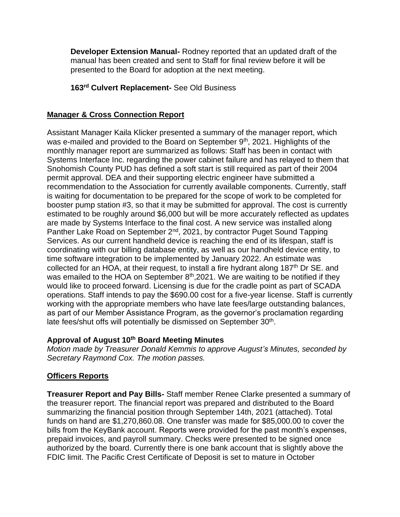**Developer Extension Manual-** Rodney reported that an updated draft of the manual has been created and sent to Staff for final review before it will be presented to the Board for adoption at the next meeting.

### **163rd Culvert Replacement-** See Old Business

### **Manager & Cross Connection Report**

Assistant Manager Kaila Klicker presented a summary of the manager report, which was e-mailed and provided to the Board on September 9<sup>th</sup>, 2021. Highlights of the monthly manager report are summarized as follows: Staff has been in contact with Systems Interface Inc. regarding the power cabinet failure and has relayed to them that Snohomish County PUD has defined a soft start is still required as part of their 2004 permit approval. DEA and their supporting electric engineer have submitted a recommendation to the Association for currently available components. Currently, staff is waiting for documentation to be prepared for the scope of work to be completed for booster pump station #3, so that it may be submitted for approval. The cost is currently estimated to be roughly around \$6,000 but will be more accurately reflected as updates are made by Systems Interface to the final cost. A new service was installed along Panther Lake Road on September 2<sup>nd</sup>, 2021, by contractor Puget Sound Tapping Services. As our current handheld device is reaching the end of its lifespan, staff is coordinating with our billing database entity, as well as our handheld device entity, to time software integration to be implemented by January 2022. An estimate was collected for an HOA, at their request, to install a fire hydrant along 187<sup>th</sup> Dr SE. and was emailed to the HOA on September  $8<sup>th</sup>$ ,2021. We are waiting to be notified if they would like to proceed forward. Licensing is due for the cradle point as part of SCADA operations. Staff intends to pay the \$690.00 cost for a five-year license. Staff is currently working with the appropriate members who have late fees/large outstanding balances, as part of our Member Assistance Program, as the governor's proclamation regarding late fees/shut offs will potentially be dismissed on September 30<sup>th</sup>.

### **Approval of August 10th Board Meeting Minutes**

*Motion made by Treasurer Donald Kemmis to approve August's Minutes, seconded by Secretary Raymond Cox. The motion passes.*

# **Officers Reports**

**Treasurer Report and Pay Bills-** Staff member Renee Clarke presented a summary of the treasurer report. The financial report was prepared and distributed to the Board summarizing the financial position through September 14th, 2021 (attached). Total funds on hand are \$1,270,860.08. One transfer was made for \$85,000.00 to cover the bills from the KeyBank account. Reports were provided for the past month's expenses, prepaid invoices, and payroll summary. Checks were presented to be signed once authorized by the board. Currently there is one bank account that is slightly above the FDIC limit. The Pacific Crest Certificate of Deposit is set to mature in October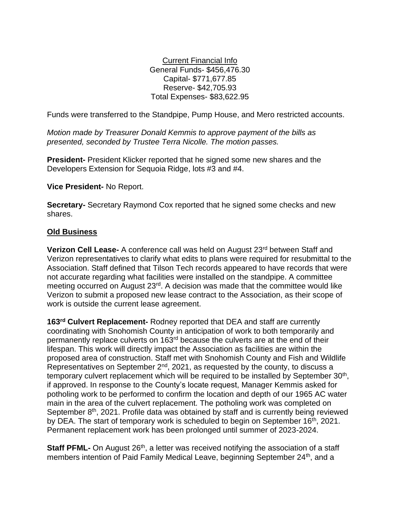Current Financial Info General Funds- \$456,476.30 Capital- \$771,677.85 Reserve- \$42,705.93 Total Expenses- \$83,622.95

Funds were transferred to the Standpipe, Pump House, and Mero restricted accounts.

*Motion made by Treasurer Donald Kemmis to approve payment of the bills as presented, seconded by Trustee Terra Nicolle. The motion passes.*

**President-** President Klicker reported that he signed some new shares and the Developers Extension for Sequoia Ridge, lots #3 and #4.

**Vice President-** No Report.

**Secretary-** Secretary Raymond Cox reported that he signed some checks and new shares.

#### **Old Business**

**Verizon Cell Lease-** A conference call was held on August 23<sup>rd</sup> between Staff and Verizon representatives to clarify what edits to plans were required for resubmittal to the Association. Staff defined that Tilson Tech records appeared to have records that were not accurate regarding what facilities were installed on the standpipe. A committee meeting occurred on August 23<sup>rd</sup>. A decision was made that the committee would like Verizon to submit a proposed new lease contract to the Association, as their scope of work is outside the current lease agreement.

**163rd Culvert Replacement-** Rodney reported that DEA and staff are currently coordinating with Snohomish County in anticipation of work to both temporarily and permanently replace culverts on 163rd because the culverts are at the end of their lifespan. This work will directly impact the Association as facilities are within the proposed area of construction. Staff met with Snohomish County and Fish and Wildlife Representatives on September 2<sup>nd</sup>, 2021, as requested by the county, to discuss a temporary culvert replacement which will be required to be installed by September  $30<sup>th</sup>$ , if approved. In response to the County's locate request, Manager Kemmis asked for potholing work to be performed to confirm the location and depth of our 1965 AC water main in the area of the culvert replacement. The potholing work was completed on September 8<sup>th</sup>, 2021. Profile data was obtained by staff and is currently being reviewed by DEA. The start of temporary work is scheduled to begin on September 16<sup>th</sup>, 2021. Permanent replacement work has been prolonged until summer of 2023-2024.

**Staff PFML-** On August 26<sup>th</sup>, a letter was received notifying the association of a staff members intention of Paid Family Medical Leave, beginning September 24<sup>th</sup>, and a